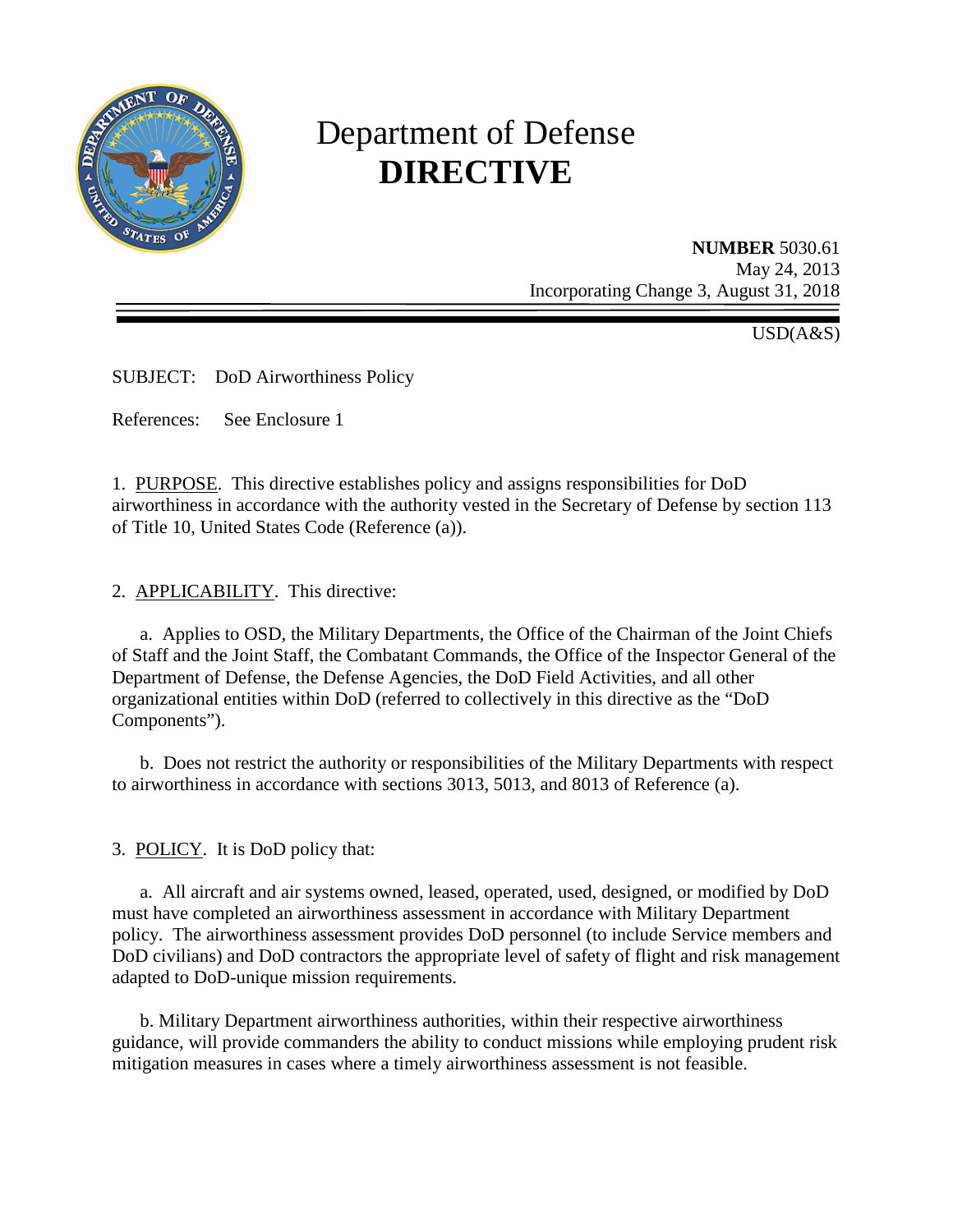

# Department of Defense **DIRECTIVE**

**NUMBER** 5030.61 May 24, 2013 Incorporating Change 3, August 31, 2018

 $\overline{USD}(A\&S)$ 

SUBJECT: DoD Airworthiness Policy

References: See Enclosure 1

1. PURPOSE. This directive establishes policy and assigns responsibilities for DoD airworthiness in accordance with the authority vested in the Secretary of Defense by section 113 of Title 10, United States Code (Reference (a)).

2. APPLICABILITY. This directive:

a. Applies to OSD, the Military Departments, the Office of the Chairman of the Joint Chiefs of Staff and the Joint Staff, the Combatant Commands, the Office of the Inspector General of the Department of Defense, the Defense Agencies, the DoD Field Activities, and all other organizational entities within DoD (referred to collectively in this directive as the "DoD Components").

b. Does not restrict the authority or responsibilities of the Military Departments with respect to airworthiness in accordance with sections 3013, 5013, and 8013 of Reference (a).

3. POLICY. It is DoD policy that:

a. All aircraft and air systems owned, leased, operated, used, designed, or modified by DoD must have completed an airworthiness assessment in accordance with Military Department policy. The airworthiness assessment provides DoD personnel (to include Service members and DoD civilians) and DoD contractors the appropriate level of safety of flight and risk management adapted to DoD-unique mission requirements.

 b. Military Department airworthiness authorities, within their respective airworthiness guidance, will provide commanders the ability to conduct missions while employing prudent risk mitigation measures in cases where a timely airworthiness assessment is not feasible.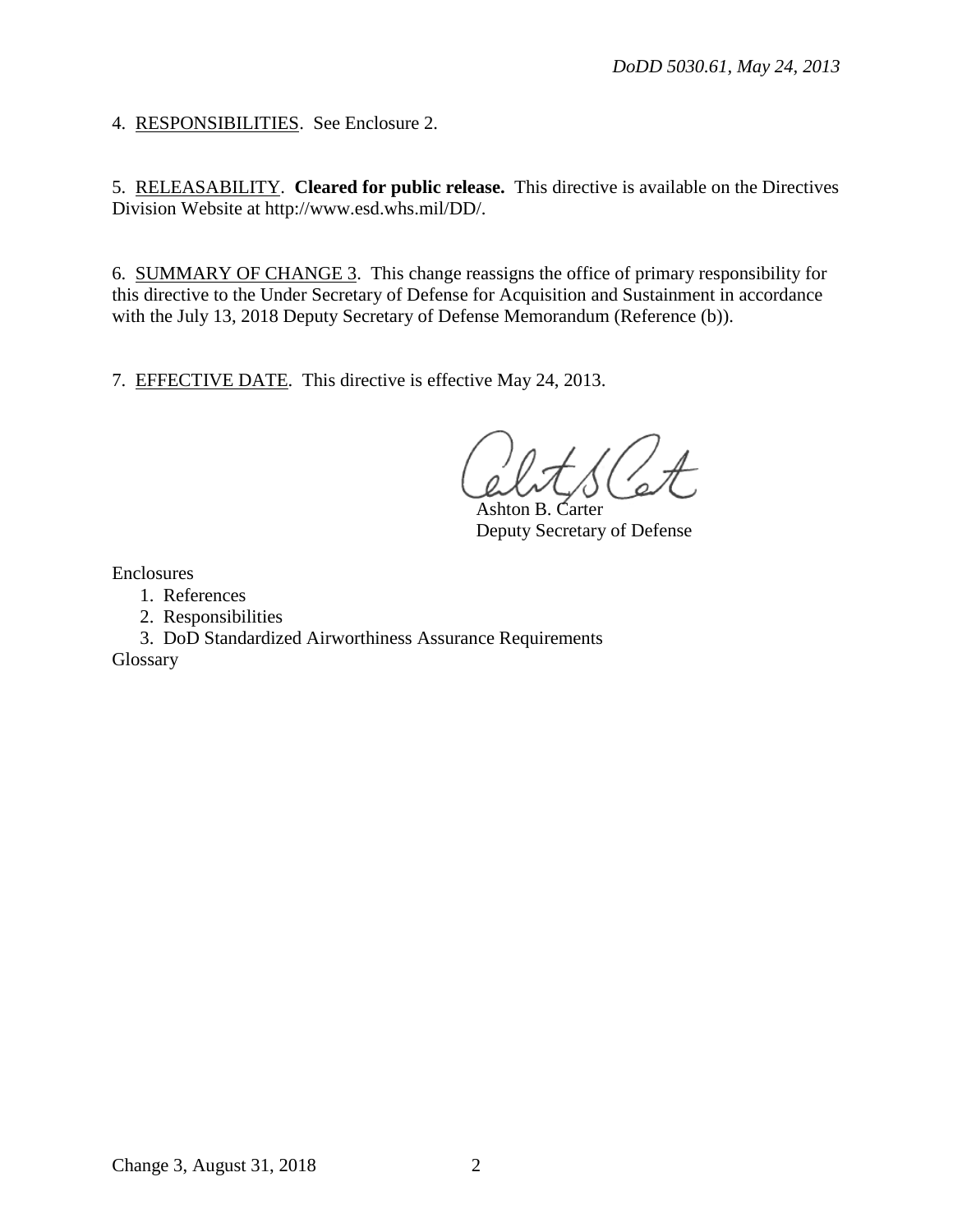4. RESPONSIBILITIES. See Enclosure 2.

5. RELEASABILITY. **Cleared for public release.** This directive is available on the Directives Division Website at http://www.esd.whs.mil/DD/.

6. SUMMARY OF CHANGE 3. This change reassigns the office of primary responsibility for this directive to the Under Secretary of Defense for Acquisition and Sustainment in accordance with the July 13, 2018 Deputy Secretary of Defense Memorandum (Reference (b)).

7. EFFECTIVE DATE. This directive is effective May 24, 2013.

Ashton B. Carter Deputy Secretary of Defense

Enclosures

- 1. References
- 2. Responsibilities
- 3. DoD Standardized Airworthiness Assurance Requirements

Glossary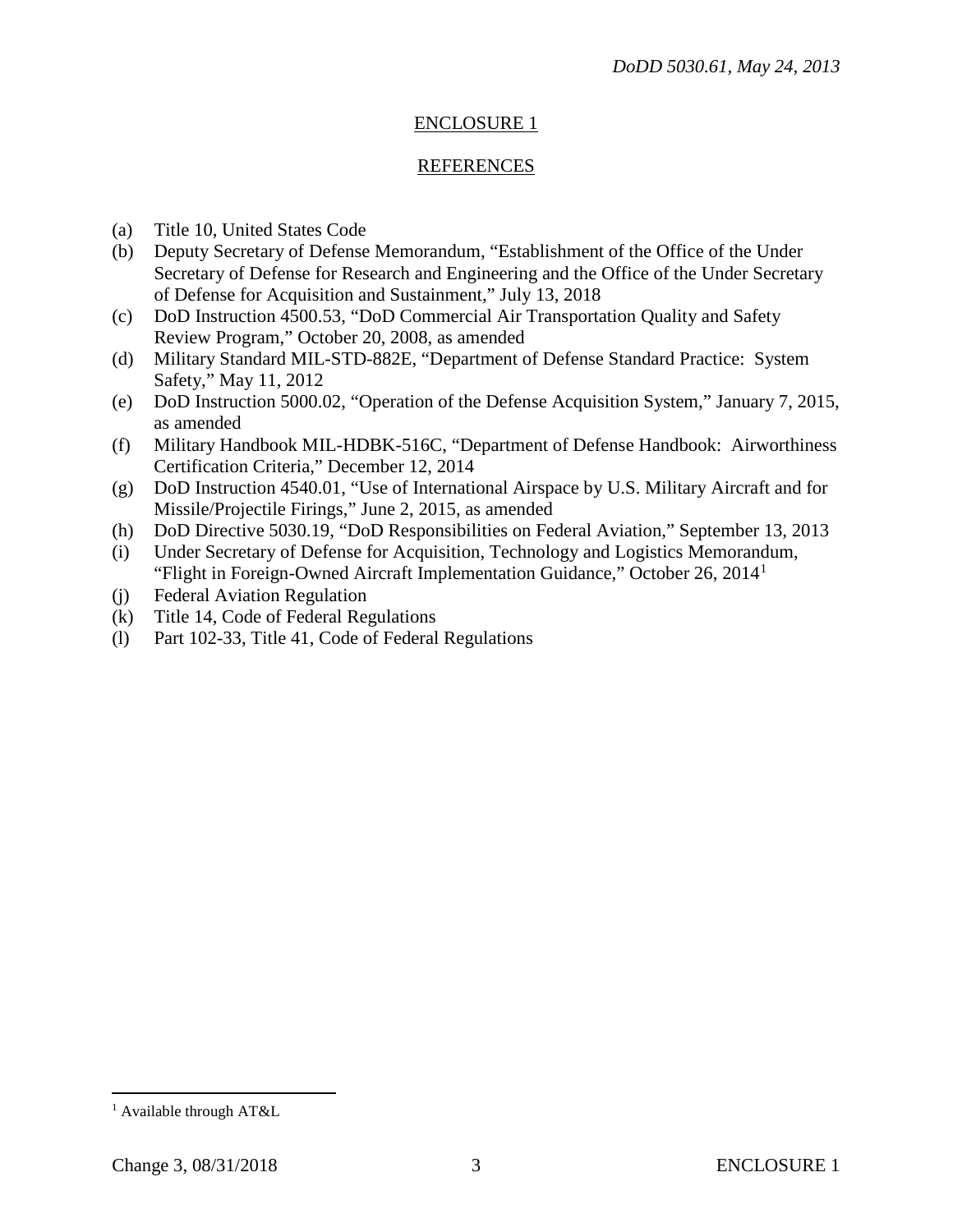# ENCLOSURE 1

## **REFERENCES**

- (a) Title 10, United States Code
- (b) Deputy Secretary of Defense Memorandum, "Establishment of the Office of the Under Secretary of Defense for Research and Engineering and the Office of the Under Secretary of Defense for Acquisition and Sustainment," July 13, 2018
- (c) DoD Instruction 4500.53, "DoD Commercial Air Transportation Quality and Safety Review Program," October 20, 2008, as amended
- (d) Military Standard MIL-STD-882E, "Department of Defense Standard Practice: System Safety," May 11, 2012
- (e) DoD Instruction 5000.02, "Operation of the Defense Acquisition System," January 7, 2015, as amended
- (f) Military Handbook MIL-HDBK-516C, "Department of Defense Handbook: Airworthiness Certification Criteria," December 12, 2014
- (g) DoD Instruction 4540.01, "Use of International Airspace by U.S. Military Aircraft and for Missile/Projectile Firings," June 2, 2015, as amended
- (h) DoD Directive 5030.19, "DoD Responsibilities on Federal Aviation," September 13, 2013
- (i) Under Secretary of Defense for Acquisition, Technology and Logistics Memorandum, "Flight in Foreign-Owned Aircraft Implementation Guidance," October 26, 2014[1](#page-2-0)
- (j) Federal Aviation Regulation
- (k) Title 14, Code of Federal Regulations
- (l) Part 102-33, Title 41, Code of Federal Regulations

<span id="page-2-0"></span> <sup>1</sup> Available through AT&L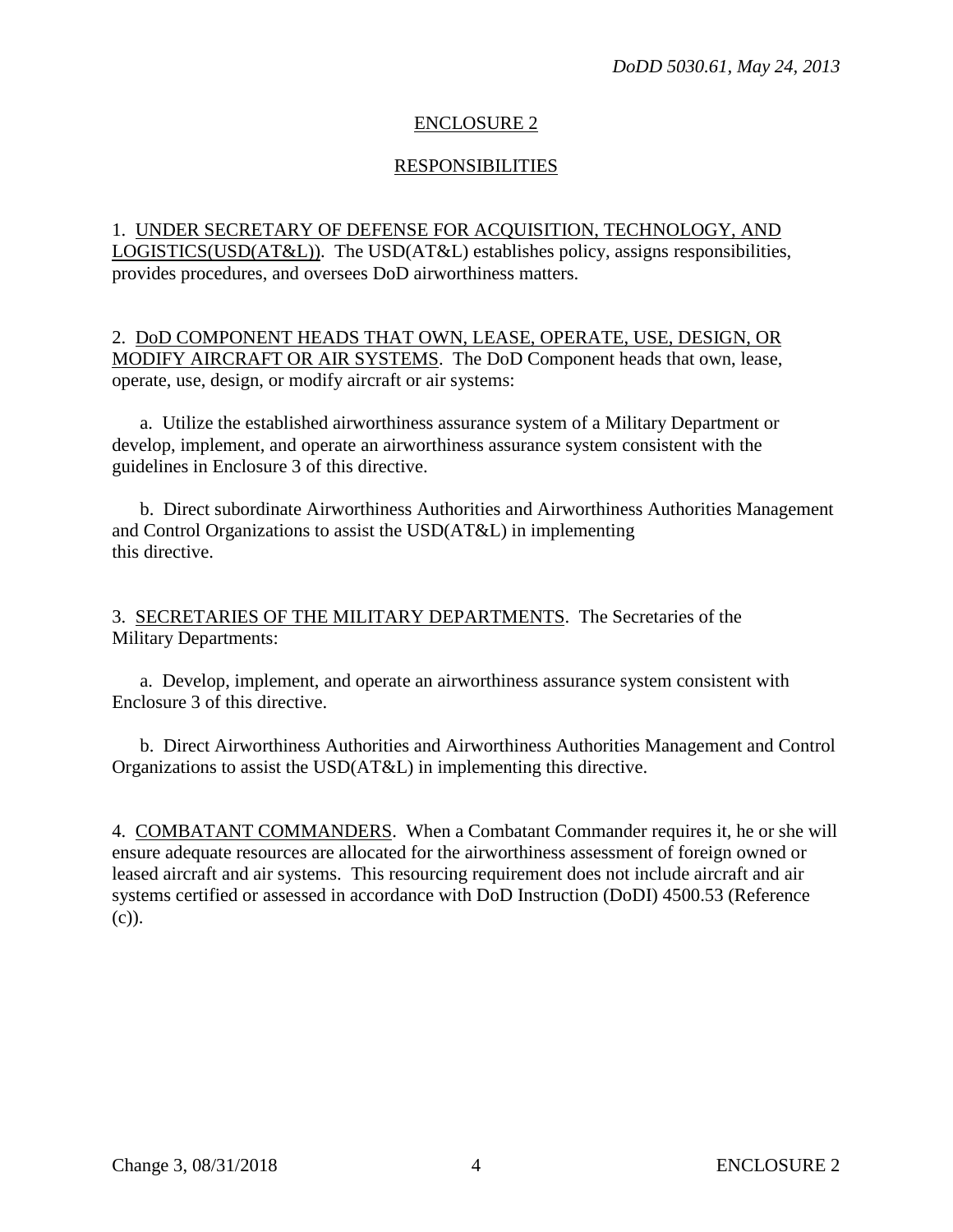## ENCLOSURE 2

## RESPONSIBILITIES

1. UNDER SECRETARY OF DEFENSE FOR ACQUISITION, TECHNOLOGY, AND LOGISTICS(USD(AT&L)). The USD(AT&L) establishes policy, assigns responsibilities, provides procedures, and oversees DoD airworthiness matters.

2. DoD COMPONENT HEADS THAT OWN, LEASE, OPERATE, USE, DESIGN, OR MODIFY AIRCRAFT OR AIR SYSTEMS. The DoD Component heads that own, lease, operate, use, design, or modify aircraft or air systems:

a. Utilize the established airworthiness assurance system of a Military Department or develop, implement, and operate an airworthiness assurance system consistent with the guidelines in Enclosure 3 of this directive.

b. Direct subordinate Airworthiness Authorities and Airworthiness Authorities Management and Control Organizations to assist the USD(AT&L) in implementing this directive.

3. SECRETARIES OF THE MILITARY DEPARTMENTS. The Secretaries of the Military Departments:

a. Develop, implement, and operate an airworthiness assurance system consistent with Enclosure 3 of this directive.

b. Direct Airworthiness Authorities and Airworthiness Authorities Management and Control Organizations to assist the USD(AT&L) in implementing this directive.

4. COMBATANT COMMANDERS. When a Combatant Commander requires it, he or she will ensure adequate resources are allocated for the airworthiness assessment of foreign owned or leased aircraft and air systems. This resourcing requirement does not include aircraft and air systems certified or assessed in accordance with DoD Instruction (DoDI) 4500.53 (Reference (c)).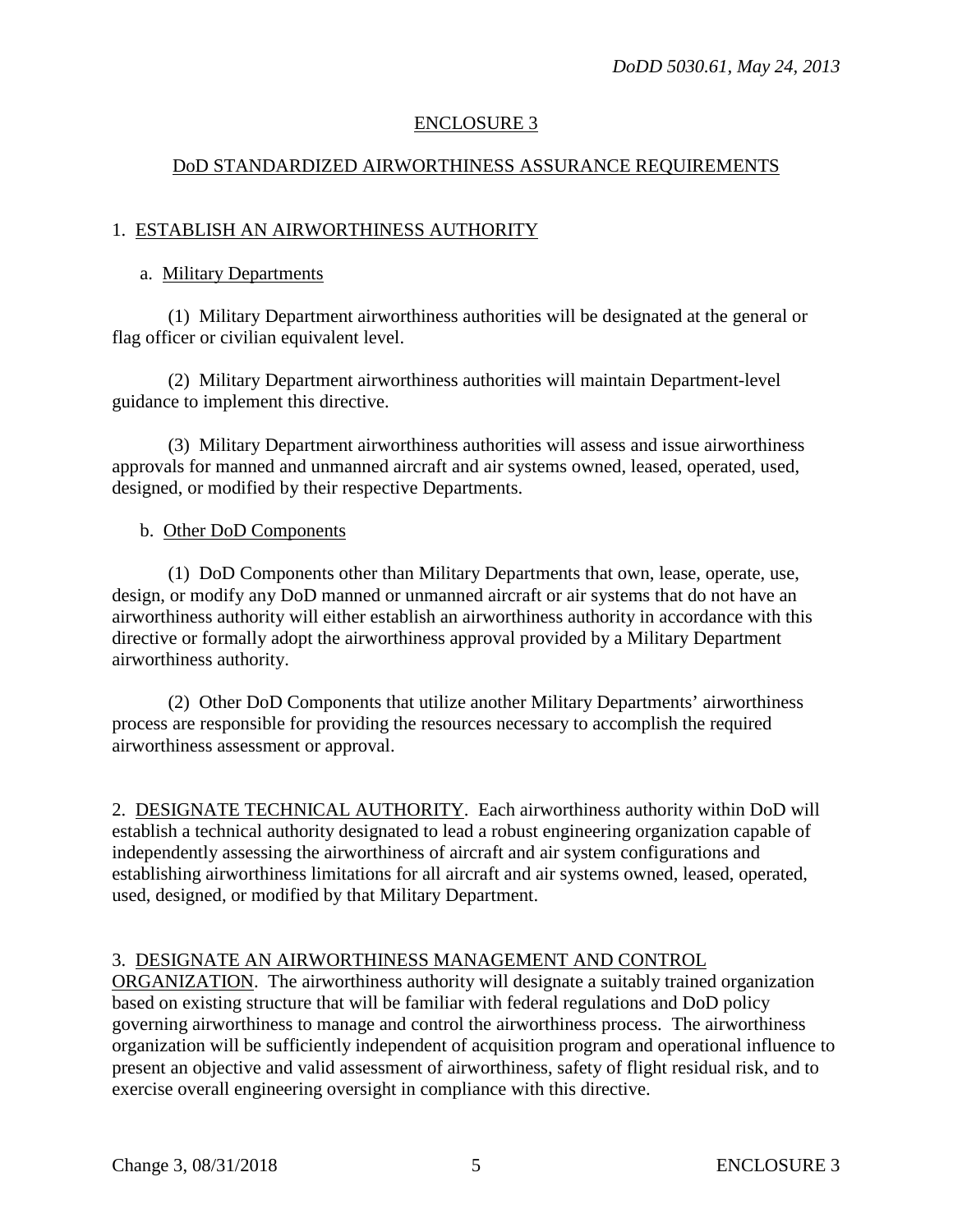# ENCLOSURE 3

# DoD STANDARDIZED AIRWORTHINESS ASSURANCE REQUIREMENTS

# 1. ESTABLISH AN AIRWORTHINESS AUTHORITY

#### a. Military Departments

(1) Military Department airworthiness authorities will be designated at the general or flag officer or civilian equivalent level.

(2) Military Department airworthiness authorities will maintain Department-level guidance to implement this directive.

(3) Military Department airworthiness authorities will assess and issue airworthiness approvals for manned and unmanned aircraft and air systems owned, leased, operated, used, designed, or modified by their respective Departments.

## b. Other DoD Components

(1) DoD Components other than Military Departments that own, lease, operate, use, design, or modify any DoD manned or unmanned aircraft or air systems that do not have an airworthiness authority will either establish an airworthiness authority in accordance with this directive or formally adopt the airworthiness approval provided by a Military Department airworthiness authority.

(2) Other DoD Components that utilize another Military Departments' airworthiness process are responsible for providing the resources necessary to accomplish the required airworthiness assessment or approval.

2. DESIGNATE TECHNICAL AUTHORITY. Each airworthiness authority within DoD will establish a technical authority designated to lead a robust engineering organization capable of independently assessing the airworthiness of aircraft and air system configurations and establishing airworthiness limitations for all aircraft and air systems owned, leased, operated, used, designed, or modified by that Military Department.

# 3. DESIGNATE AN AIRWORTHINESS MANAGEMENT AND CONTROL

ORGANIZATION. The airworthiness authority will designate a suitably trained organization based on existing structure that will be familiar with federal regulations and DoD policy governing airworthiness to manage and control the airworthiness process. The airworthiness organization will be sufficiently independent of acquisition program and operational influence to present an objective and valid assessment of airworthiness, safety of flight residual risk, and to exercise overall engineering oversight in compliance with this directive.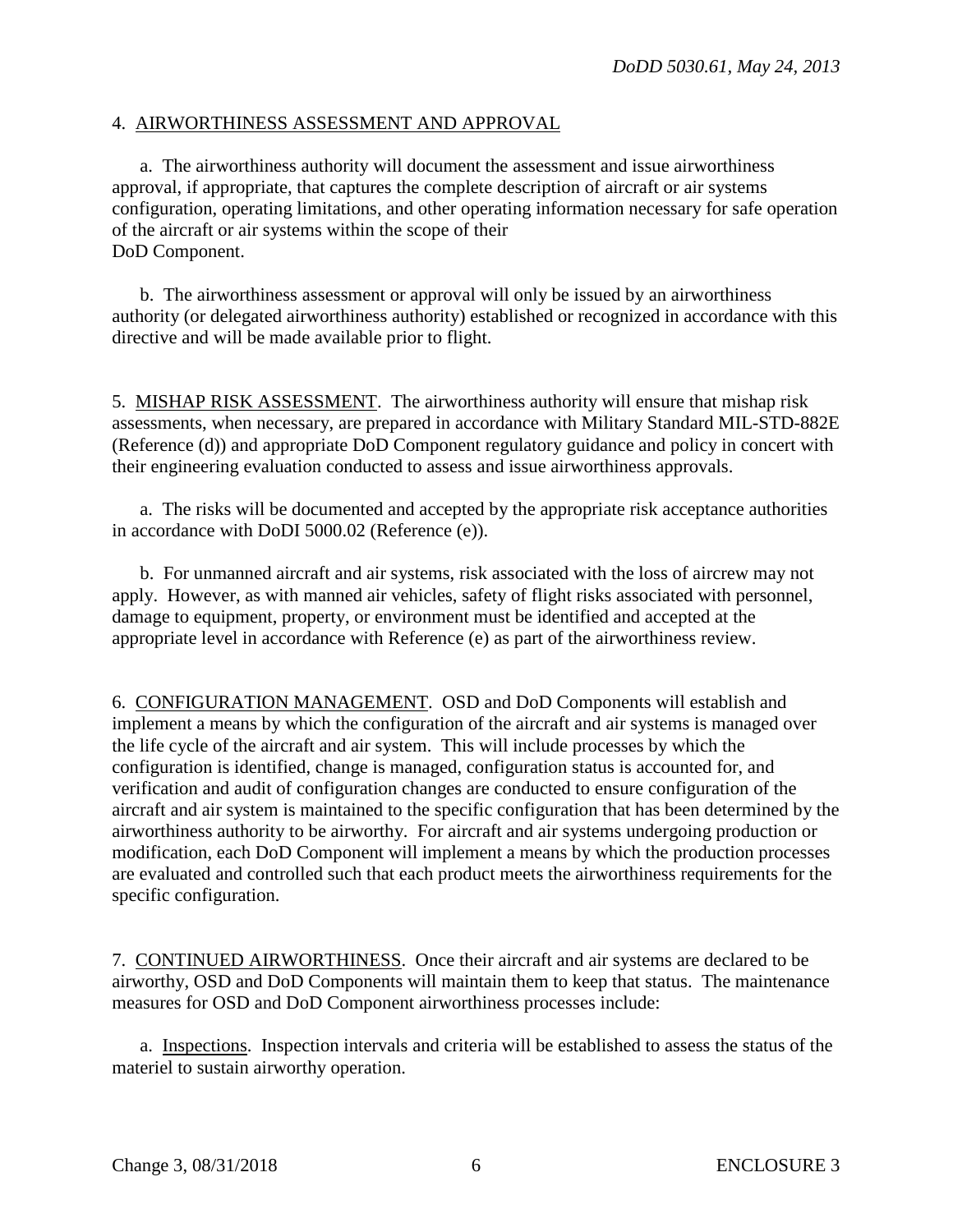#### 4. AIRWORTHINESS ASSESSMENT AND APPROVAL

a. The airworthiness authority will document the assessment and issue airworthiness approval, if appropriate, that captures the complete description of aircraft or air systems configuration, operating limitations, and other operating information necessary for safe operation of the aircraft or air systems within the scope of their DoD Component.

b. The airworthiness assessment or approval will only be issued by an airworthiness authority (or delegated airworthiness authority) established or recognized in accordance with this directive and will be made available prior to flight.

5. MISHAP RISK ASSESSMENT. The airworthiness authority will ensure that mishap risk assessments, when necessary, are prepared in accordance with Military Standard MIL-STD-882E (Reference (d)) and appropriate DoD Component regulatory guidance and policy in concert with their engineering evaluation conducted to assess and issue airworthiness approvals.

a. The risks will be documented and accepted by the appropriate risk acceptance authorities in accordance with DoDI 5000.02 (Reference (e)).

b. For unmanned aircraft and air systems, risk associated with the loss of aircrew may not apply. However, as with manned air vehicles, safety of flight risks associated with personnel, damage to equipment, property, or environment must be identified and accepted at the appropriate level in accordance with Reference (e) as part of the airworthiness review.

6. CONFIGURATION MANAGEMENT. OSD and DoD Components will establish and implement a means by which the configuration of the aircraft and air systems is managed over the life cycle of the aircraft and air system. This will include processes by which the configuration is identified, change is managed, configuration status is accounted for, and verification and audit of configuration changes are conducted to ensure configuration of the aircraft and air system is maintained to the specific configuration that has been determined by the airworthiness authority to be airworthy. For aircraft and air systems undergoing production or modification, each DoD Component will implement a means by which the production processes are evaluated and controlled such that each product meets the airworthiness requirements for the specific configuration.

7. CONTINUED AIRWORTHINESS. Once their aircraft and air systems are declared to be airworthy, OSD and DoD Components will maintain them to keep that status. The maintenance measures for OSD and DoD Component airworthiness processes include:

a. Inspections. Inspection intervals and criteria will be established to assess the status of the materiel to sustain airworthy operation.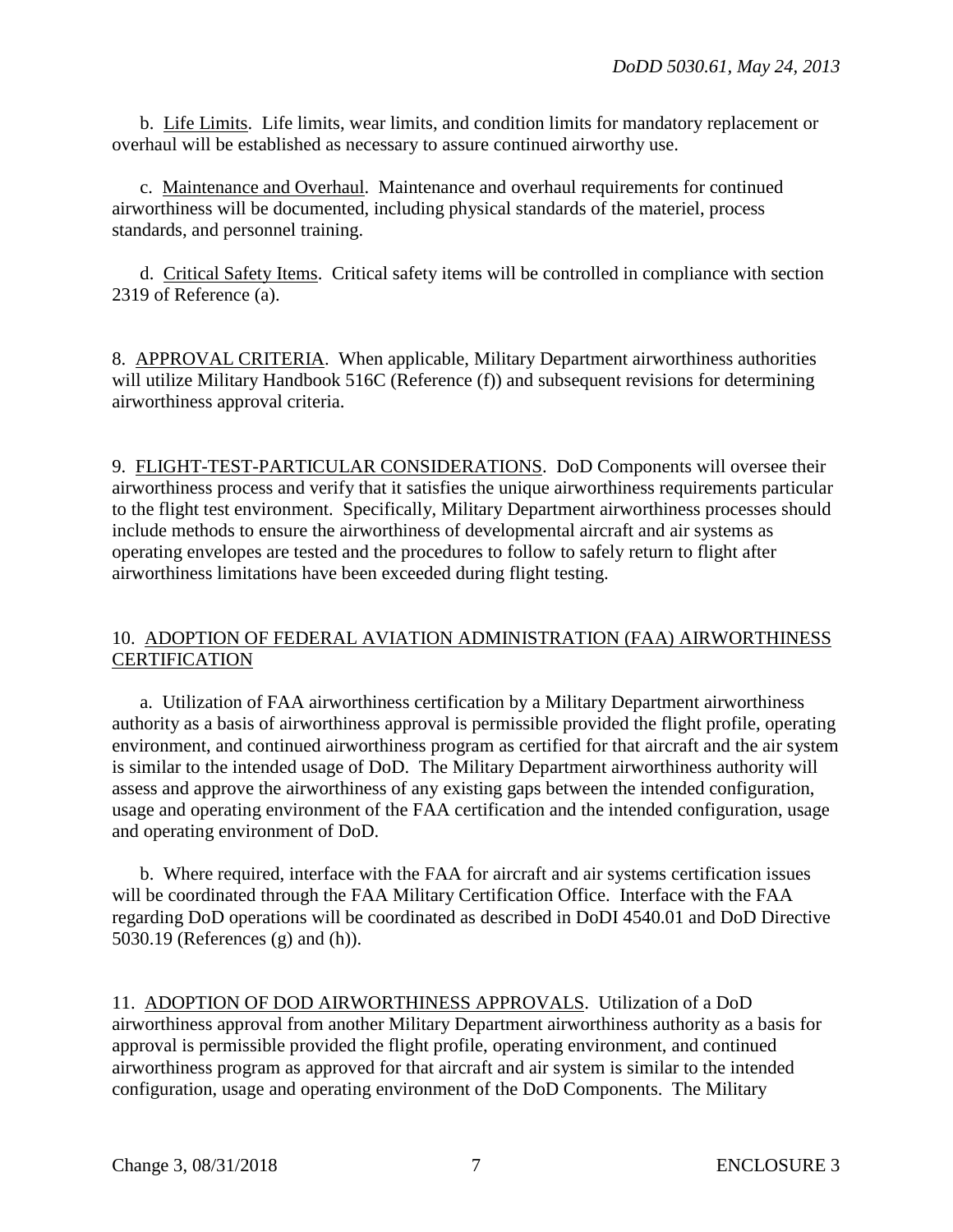b. Life Limits. Life limits, wear limits, and condition limits for mandatory replacement or overhaul will be established as necessary to assure continued airworthy use.

c. Maintenance and Overhaul. Maintenance and overhaul requirements for continued airworthiness will be documented, including physical standards of the materiel, process standards, and personnel training.

d. Critical Safety Items. Critical safety items will be controlled in compliance with section 2319 of Reference (a).

8. APPROVAL CRITERIA. When applicable, Military Department airworthiness authorities will utilize Military Handbook 516C (Reference (f)) and subsequent revisions for determining airworthiness approval criteria.

9. FLIGHT-TEST-PARTICULAR CONSIDERATIONS. DoD Components will oversee their airworthiness process and verify that it satisfies the unique airworthiness requirements particular to the flight test environment. Specifically, Military Department airworthiness processes should include methods to ensure the airworthiness of developmental aircraft and air systems as operating envelopes are tested and the procedures to follow to safely return to flight after airworthiness limitations have been exceeded during flight testing.

# 10. ADOPTION OF FEDERAL AVIATION ADMINISTRATION (FAA) AIRWORTHINESS **CERTIFICATION**

a. Utilization of FAA airworthiness certification by a Military Department airworthiness authority as a basis of airworthiness approval is permissible provided the flight profile, operating environment, and continued airworthiness program as certified for that aircraft and the air system is similar to the intended usage of DoD. The Military Department airworthiness authority will assess and approve the airworthiness of any existing gaps between the intended configuration, usage and operating environment of the FAA certification and the intended configuration, usage and operating environment of DoD.

b. Where required, interface with the FAA for aircraft and air systems certification issues will be coordinated through the FAA Military Certification Office. Interface with the FAA regarding DoD operations will be coordinated as described in DoDI 4540.01 and DoD Directive 5030.19 (References (g) and (h)).

11. ADOPTION OF DOD AIRWORTHINESS APPROVALS. Utilization of a DoD airworthiness approval from another Military Department airworthiness authority as a basis for approval is permissible provided the flight profile, operating environment, and continued airworthiness program as approved for that aircraft and air system is similar to the intended configuration, usage and operating environment of the DoD Components. The Military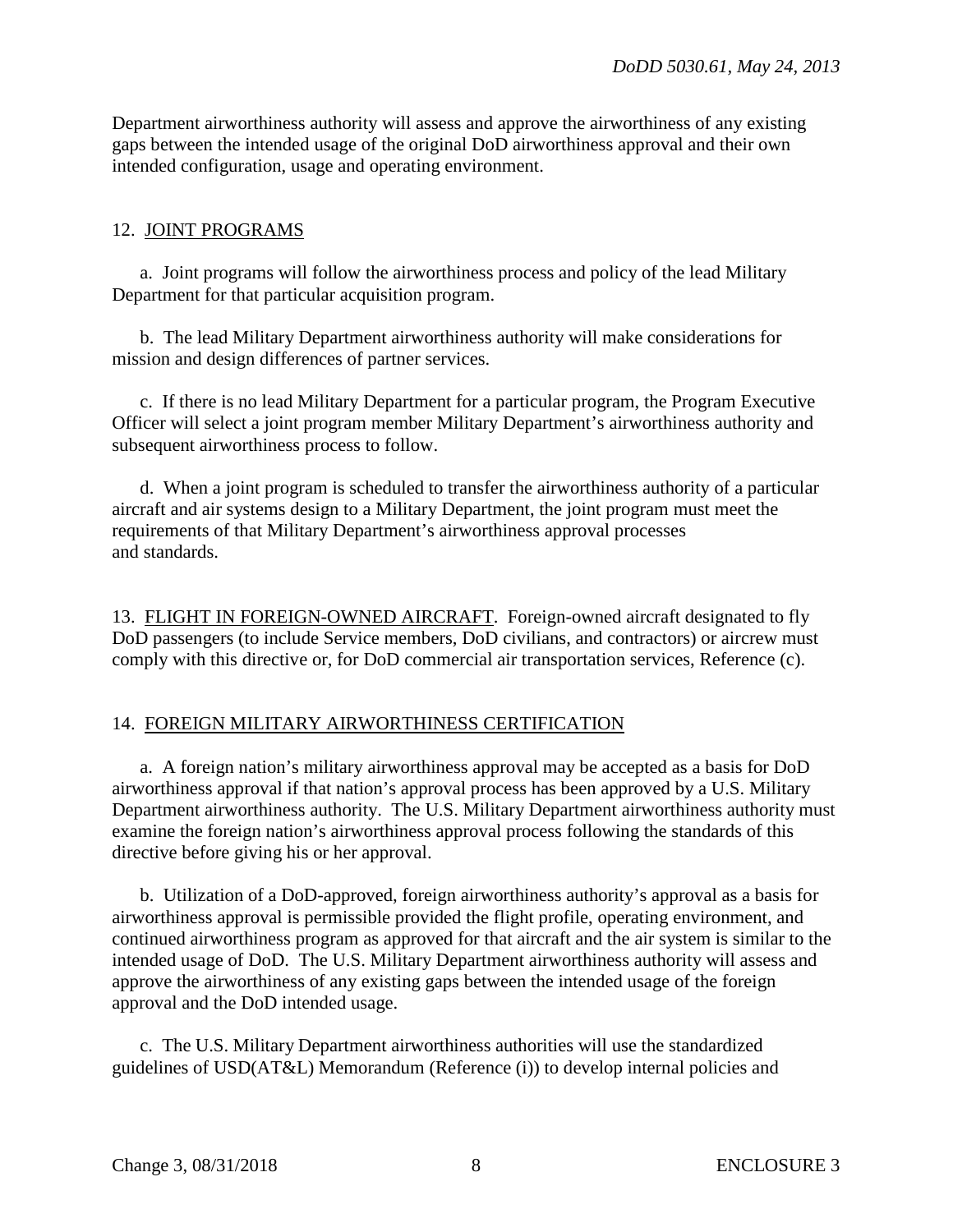Department airworthiness authority will assess and approve the airworthiness of any existing gaps between the intended usage of the original DoD airworthiness approval and their own intended configuration, usage and operating environment.

## 12. JOINT PROGRAMS

a. Joint programs will follow the airworthiness process and policy of the lead Military Department for that particular acquisition program.

b. The lead Military Department airworthiness authority will make considerations for mission and design differences of partner services.

c. If there is no lead Military Department for a particular program, the Program Executive Officer will select a joint program member Military Department's airworthiness authority and subsequent airworthiness process to follow.

d. When a joint program is scheduled to transfer the airworthiness authority of a particular aircraft and air systems design to a Military Department, the joint program must meet the requirements of that Military Department's airworthiness approval processes and standards.

13. FLIGHT IN FOREIGN-OWNED AIRCRAFT. Foreign-owned aircraft designated to fly DoD passengers (to include Service members, DoD civilians, and contractors) or aircrew must comply with this directive or, for DoD commercial air transportation services, Reference (c).

## 14. FOREIGN MILITARY AIRWORTHINESS CERTIFICATION

a. A foreign nation's military airworthiness approval may be accepted as a basis for DoD airworthiness approval if that nation's approval process has been approved by a U.S. Military Department airworthiness authority. The U.S. Military Department airworthiness authority must examine the foreign nation's airworthiness approval process following the standards of this directive before giving his or her approval.

b. Utilization of a DoD-approved, foreign airworthiness authority's approval as a basis for airworthiness approval is permissible provided the flight profile, operating environment, and continued airworthiness program as approved for that aircraft and the air system is similar to the intended usage of DoD. The U.S. Military Department airworthiness authority will assess and approve the airworthiness of any existing gaps between the intended usage of the foreign approval and the DoD intended usage.

c. The U.S. Military Department airworthiness authorities will use the standardized guidelines of USD(AT&L) Memorandum (Reference (i)) to develop internal policies and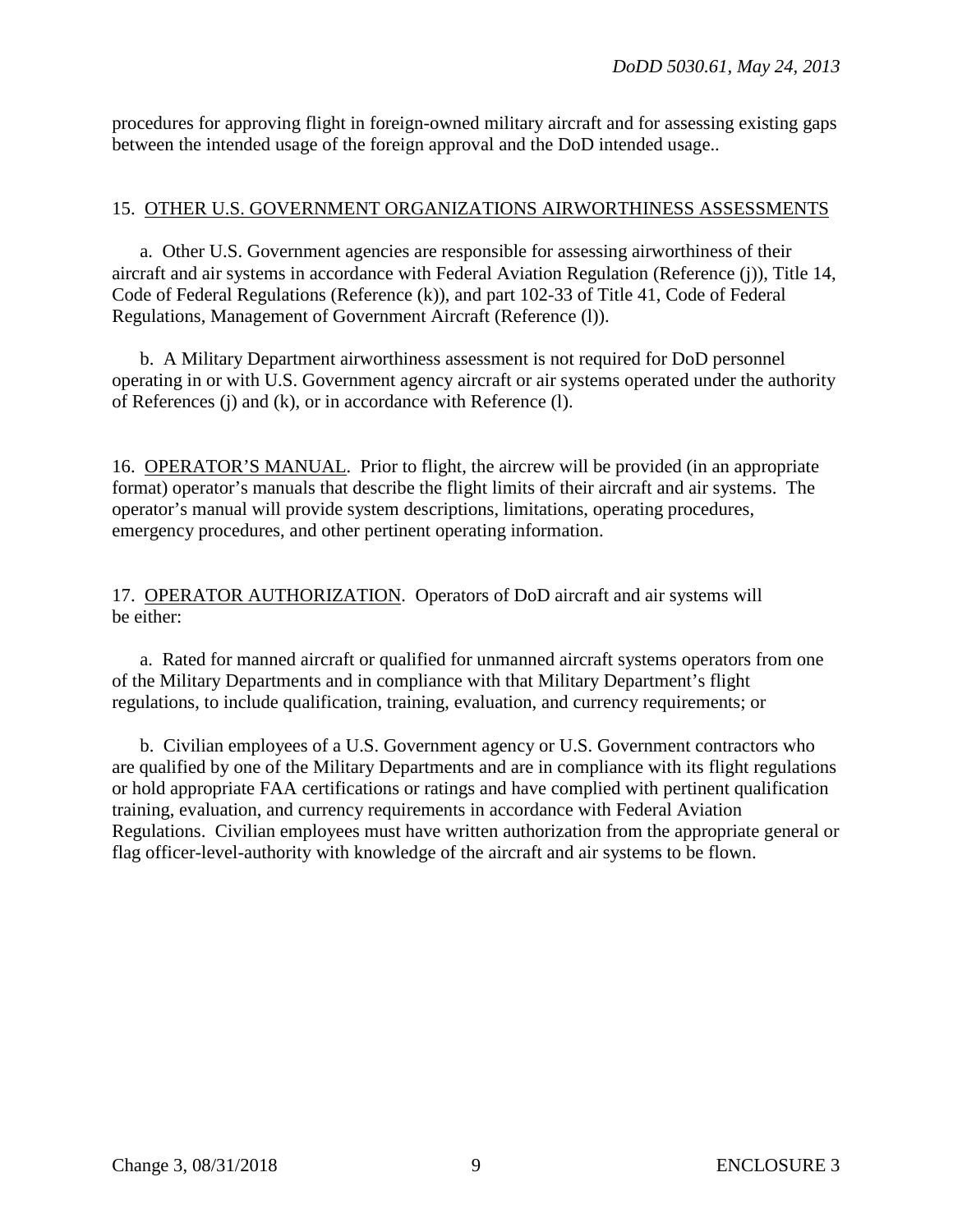procedures for approving flight in foreign-owned military aircraft and for assessing existing gaps between the intended usage of the foreign approval and the DoD intended usage..

## 15. OTHER U.S. GOVERNMENT ORGANIZATIONS AIRWORTHINESS ASSESSMENTS

a. Other U.S. Government agencies are responsible for assessing airworthiness of their aircraft and air systems in accordance with Federal Aviation Regulation (Reference (j)), Title 14, Code of Federal Regulations (Reference (k)), and part 102-33 of Title 41, Code of Federal Regulations, Management of Government Aircraft (Reference (l)).

b. A Military Department airworthiness assessment is not required for DoD personnel operating in or with U.S. Government agency aircraft or air systems operated under the authority of References (j) and (k), or in accordance with Reference (l).

16. OPERATOR'S MANUAL. Prior to flight, the aircrew will be provided (in an appropriate format) operator's manuals that describe the flight limits of their aircraft and air systems. The operator's manual will provide system descriptions, limitations, operating procedures, emergency procedures, and other pertinent operating information.

17. OPERATOR AUTHORIZATION. Operators of DoD aircraft and air systems will be either:

a. Rated for manned aircraft or qualified for unmanned aircraft systems operators from one of the Military Departments and in compliance with that Military Department's flight regulations, to include qualification, training, evaluation, and currency requirements; or

b. Civilian employees of a U.S. Government agency or U.S. Government contractors who are qualified by one of the Military Departments and are in compliance with its flight regulations or hold appropriate FAA certifications or ratings and have complied with pertinent qualification training, evaluation, and currency requirements in accordance with Federal Aviation Regulations. Civilian employees must have written authorization from the appropriate general or flag officer-level-authority with knowledge of the aircraft and air systems to be flown.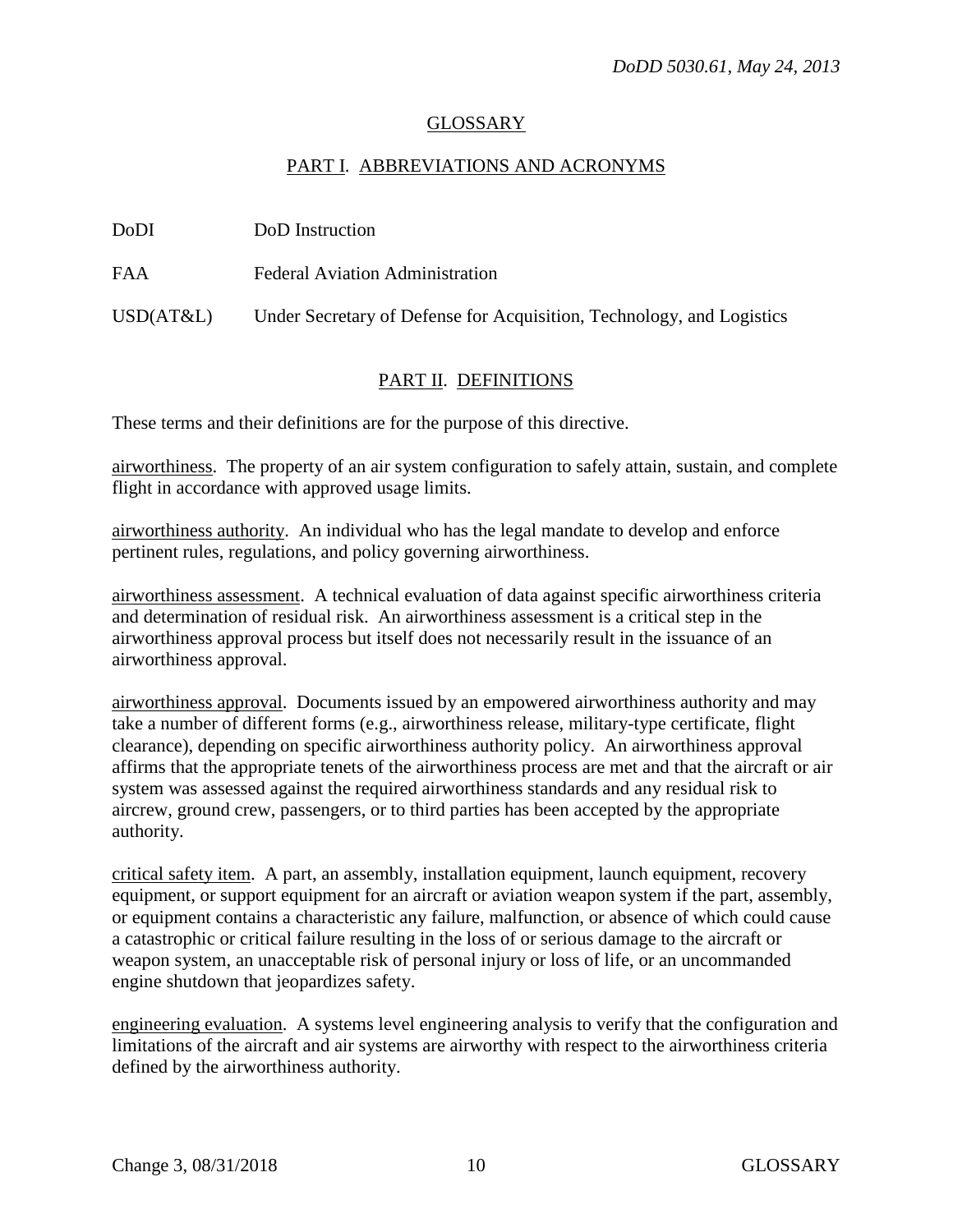#### GLOSSARY

#### PART I. ABBREVIATIONS AND ACRONYMS

FAA Federal Aviation Administration

USD(AT&L) Under Secretary of Defense for Acquisition, Technology, and Logistics

#### PART II. DEFINITIONS

These terms and their definitions are for the purpose of this directive.

airworthiness. The property of an air system configuration to safely attain, sustain, and complete flight in accordance with approved usage limits.

airworthiness authority. An individual who has the legal mandate to develop and enforce pertinent rules, regulations, and policy governing airworthiness.

airworthiness assessment. A technical evaluation of data against specific airworthiness criteria and determination of residual risk. An airworthiness assessment is a critical step in the airworthiness approval process but itself does not necessarily result in the issuance of an airworthiness approval.

airworthiness approval. Documents issued by an empowered airworthiness authority and may take a number of different forms (e.g., airworthiness release, military-type certificate, flight clearance), depending on specific airworthiness authority policy. An airworthiness approval affirms that the appropriate tenets of the airworthiness process are met and that the aircraft or air system was assessed against the required airworthiness standards and any residual risk to aircrew, ground crew, passengers, or to third parties has been accepted by the appropriate authority.

critical safety item. A part, an assembly, installation equipment, launch equipment, recovery equipment, or support equipment for an aircraft or aviation weapon system if the part, assembly, or equipment contains a characteristic any failure, malfunction, or absence of which could cause a catastrophic or critical failure resulting in the loss of or serious damage to the aircraft or weapon system, an unacceptable risk of personal injury or loss of life, or an uncommanded engine shutdown that jeopardizes safety.

engineering evaluation. A systems level engineering analysis to verify that the configuration and limitations of the aircraft and air systems are airworthy with respect to the airworthiness criteria defined by the airworthiness authority.